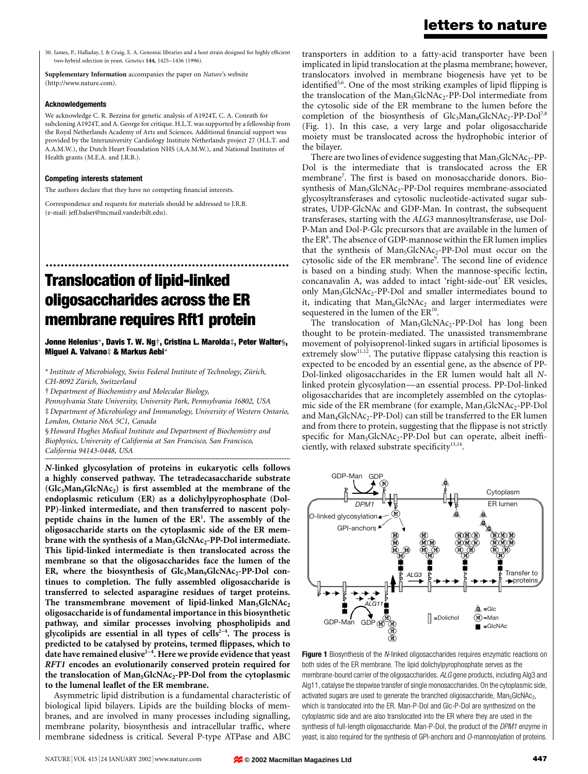30. James, P., Halladay, J. & Craig, E. A. Genomic libraries and a host strain designed for highly efficient two-hybrid selection in yeast. Genetics 144, 1425-1436 (1996).

Supplementary Information accompanies the paper on Nature's website (http://www.nature.com).

#### Acknowledgements

We acknowledge C. R. Bezzina for genetic analysis of A1924T, C. A. Conrath for subcloning A1924T, and A. George for critique. H.L.T. was supported by a fellowship from the Royal Netherlands Academy of Arts and Sciences. Additional financial support was provided by the Interuniversity Cardiology Institute Netherlands project 27 (H.L.T. and A.A.M.W.), the Dutch Heart Foundation NHS (A.A.M.W.), and National Institutes of Health grants (M.E.A. and J.R.B.).

#### Competing interests statement

The authors declare that they have no competing financial interests.

Correspondence and requests for materials should be addressed to J.R.B. (e-mail: jeff.balser@mcmail.vanderbilt.edu).

# ................................................................. Translocation of lipid-linked oligosaccharides across the ER membrane requires Rft1 protein

Jonne Helenius\*, Davis T. W. Ng†, Cristina L. Marolda‡, Peter Walter§, Miguel A. Valvano‡ & Markus Aebi\*

\* Institute of Microbiology, Swiss Federal Institute of Technology, Zürich, CH-8092 Zürich, Switzerland

² Department of Biochemistry and Molecular Biology,

Pennsylvania State University, University Park, Pennsylvania 16802, USA

³ Department of Microbiology and Immunology, University of Western Ontario, London, Ontario N6A 5C1, Canada

§ Howard Hughes Medical Institute and Department of Biochemistry and Biophysics, University of California at San Francisco, San Francisco, California 94143-0448, USA ..............................................................................................................................................

N-linked glycosylation of proteins in eukaryotic cells follows a highly conserved pathway. The tetradecasaccharide substrate  $(Glc<sub>3</sub>Man<sub>9</sub>GlcNAc<sub>2</sub>)$  is first assembled at the membrane of the endoplasmic reticulum (ER) as a dolichylpyrophosphate (Dol-PP)-linked intermediate, and then transferred to nascent polypeptide chains in the lumen of the ER<sup>1</sup>. The assembly of the oligosaccharide starts on the cytoplasmic side of the ER membrane with the synthesis of a  $Man_5GlcNAc_2-PP-Dol$  intermediate. This lipid-linked intermediate is then translocated across the membrane so that the oligosaccharides face the lumen of the ER, where the biosynthesis of  $Glc<sub>3</sub>Man<sub>9</sub>GlcNAc<sub>2</sub>-PP-Dol$  continues to completion. The fully assembled oligosaccharide is transferred to selected asparagine residues of target proteins. The transmembrane movement of lipid-linked  $Man_5GlcNAc_2$ oligosaccharide is of fundamental importance in this biosynthetic pathway, and similar processes involving phospholipids and glycolipids are essential in all types of cells<sup> $2-4$ </sup>. The process is predicted to be catalysed by proteins, termed flippases, which to date have remained elusive<sup>2-4</sup>. Here we provide evidence that yeast RFT1 encodes an evolutionarily conserved protein required for the translocation of  $Man_5GlcNAc_2-PP-Dol$  from the cytoplasmic to the lumenal leaflet of the ER membrane.

Asymmetric lipid distribution is a fundamental characteristic of biological lipid bilayers. Lipids are the building blocks of membranes, and are involved in many processes including signalling, membrane polarity, biosynthesis and intracellular traffic, where membrane sidedness is critical. Several P-type ATPase and ABC

## letters to nature

transporters in addition to a fatty-acid transporter have been implicated in lipid translocation at the plasma membrane; however, translocators involved in membrane biogenesis have yet to be identified<sup>5,6</sup>. One of the most striking examples of lipid flipping is the translocation of the Man<sub>5</sub>GlcNAc<sub>2</sub>-PP-Dol intermediate from the cytosolic side of the ER membrane to the lumen before the completion of the biosynthesis of  $Glc<sub>3</sub>Man<sub>9</sub>GlcNAc<sub>2</sub>-PP-Dol<sup>7,8</sup>$ (Fig. 1). In this case, a very large and polar oligosaccharide moiety must be translocated across the hydrophobic interior of the bilayer.

There are two lines of evidence suggesting that  $Man<sub>5</sub>GlcNAc<sub>2</sub>-PP-$ Dol is the intermediate that is translocated across the ER membrane<sup>7</sup>. The first is based on monosaccharide donors. Biosynthesis of Man<sub>5</sub>GlcNAc<sub>2</sub>-PP-Dol requires membrane-associated glycosyltransferases and cytosolic nucleotide-activated sugar substrates, UDP-GlcNAc and GDP-Man. In contrast, the subsequent transferases, starting with the ALG3 mannosyltransferase, use Dol-P-Man and Dol-P-Glc precursors that are available in the lumen of the ER<sup>8</sup>. The absence of GDP-mannose within the ER lumen implies that the synthesis of  $Man_5GlcNAc_2-PP-Dol$  must occur on the cytosolic side of the ER membrane<sup>9</sup>. The second line of evidence is based on a binding study. When the mannose-specific lectin, concanavalin A, was added to intact 'right-side-out' ER vesicles, only Man<sub>5</sub>GlcNAc<sub>2</sub>-PP-Dol and smaller intermediates bound to it, indicating that  $Man<sub>6</sub>GlcNAc<sub>2</sub>$  and larger intermediates were sequestered in the lumen of the ER<sup>10</sup>.

The translocation of  $Man_5GlcNAc_2-PP-Dol$  has long been thought to be protein-mediated. The unassisted transmembrane movement of polyisoprenol-linked sugars in artificial liposomes is extremely slow<sup>11,12</sup>. The putative flippase catalysing this reaction is expected to be encoded by an essential gene, as the absence of PP-Dol-linked oligosaccharides in the ER lumen would halt all Nlinked protein glycosylation—an essential process. PP-Dol-linked oligosaccharides that are incompletely assembled on the cytoplasmic side of the ER membrane (for example, Man<sub>3</sub>GlcNAc<sub>2</sub>-PP-Dol and  $Man_4GlcNAc_2-PP-Dol$ ) can still be transferred to the ER lumen and from there to protein, suggesting that the flippase is not strictly specific for Man<sub>5</sub>GlcNAc<sub>2</sub>-PP-Dol but can operate, albeit inefficiently, with relaxed substrate specificity<sup>13,14</sup>.



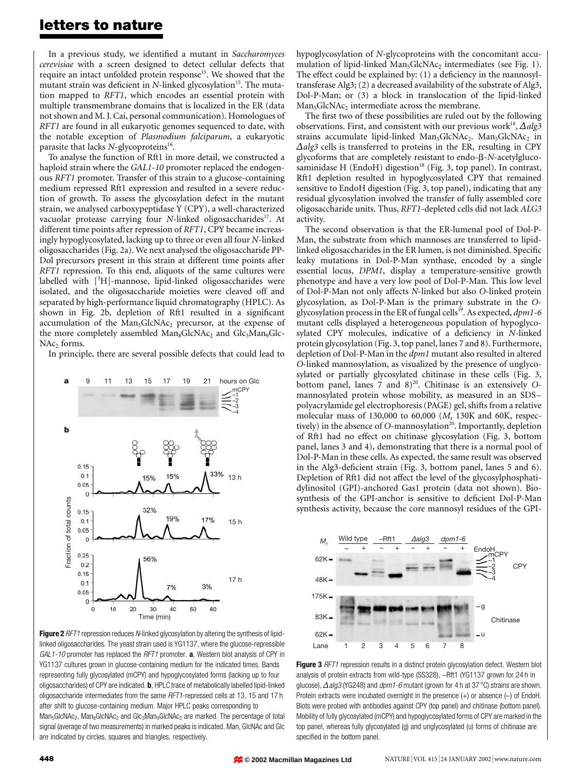### letters to nature

In a previous study, we identified a mutant in Saccharomyces cerevisiae with a screen designed to detect cellular defects that require an intact unfolded protein response<sup>15</sup>. We showed that the mutant strain was deficient in N-linked glycosylation<sup>15</sup>. The mutation mapped to RFT1, which encodes an essential protein with multiple transmembrane domains that is localized in the ER (data not shown and M. J. Cai, personal communication). Homologues of RFT1 are found in all eukaryotic genomes sequenced to date, with the notable exception of Plasmodium falciparum, a eukaryotic parasite that lacks  $N$ -glycoproteins<sup>16</sup>.

To analyse the function of Rft1 in more detail, we constructed a haploid strain where the GAL1-10 promoter replaced the endogenous RFT1 promoter. Transfer of this strain to a glucose-containing medium repressed Rft1 expression and resulted in a severe reduction of growth. To assess the glycosylation defect in the mutant strain, we analysed carboxypeptidase Y (CPY), a well-characterized vacuolar protease carrying four N-linked oligosaccharides<sup>17</sup>. At different time points after repression of RFT1, CPY became increasingly hypoglycosylated, lacking up to three or even all four N-linked oligosaccharides (Fig. 2a). We next analysed the oligosaccharide PP-Dol precursors present in this strain at different time points after RFT1 repression. To this end, aliquots of the same cultures were labelled with [3H]-mannose, lipid-linked oligosaccharides were isolated, and the oligosaccharide moieties were cleaved off and separated by high-performance liquid chromatography (HPLC). As shown in Fig. 2b, depletion of Rft1 resulted in a significant accumulation of the  $Man<sub>5</sub>GlcNAc<sub>2</sub>$  precursor, at the expense of the more completely assembled  $Man_{8}GlcNAC_{2}$  and  $Glc_{3}Man_{9}Glc NAc<sub>2</sub>$  forms.

In principle, there are several possible defects that could lead to



Figure 2 RFT1 repression reduces N-linked glycosylation by altering the synthesis of lipidlinked oligosaccharides. The yeast strain used is YG1137, where the glucose-repressible GAL1-10 promoter has replaced the RFT1 promoter. a, Western blot analysis of CPY in YG1137 cultures grown in glucose-containing medium for the indicated times. Bands representing fully glycosylated (mCPY) and hypoglycosylated forms (lacking up to four oligosaccharides) of CPY are indicated. b, HPLC trace of metabolically labelled lipid-linked oligosaccharide intermediates from the same RFT1-repressed cells at 13, 15 and 17 h after shift to glucose-containing medium. Major HPLC peaks corresponding to Man<sub>5</sub>GlcNAc<sub>2</sub>, Man<sub>8</sub>GlcNAc<sub>2</sub> and Glc<sub>3</sub>Man<sub>9</sub>GlcNAc<sub>2</sub> are marked. The percentage of total signal (average of two measurements) in marked peaks is indicated. Man, GlcNAc and Glc are indicated by circles, squares and triangles, respectively.

hypoglycosylation of N-glycoproteins with the concomitant accumulation of lipid-linked  $Man<sub>5</sub>GlcNAc<sub>2</sub>$  intermediates (see Fig. 1). The effect could be explained by:  $(1)$  a deficiency in the mannosyltransferase Alg3; (2) a decreased availability of the substrate of Alg3, Dol-P-Man; or (3) a block in translocation of the lipid-linked Man<sub>5</sub>GlcNAc<sub>2</sub> intermediate across the membrane.

The first two of these possibilities are ruled out by the following observations. First, and consistent with our previous work<sup>18</sup>,  $\Delta alg3$ strains accumulate lipid-linked Man<sub>5</sub>GlcNAc<sub>2</sub>. Man<sub>5</sub>GlcNAc<sub>2</sub> in  $\triangle$ alg3 cells is transferred to proteins in the ER, resulting in CPY glycoforms that are completely resistant to endo- $\beta$ -N-acetylglucosaminidase H (EndoH) digestion<sup>18</sup> (Fig. 3, top panel). In contrast, Rft1 depletion resulted in hypoglycosylated CPY that remained sensitive to EndoH digestion (Fig. 3, top panel), indicating that any residual glycosylation involved the transfer of fully assembled core oligosaccharide units. Thus, RFT1-depleted cells did not lack ALG3 activity.

The second observation is that the ER-lumenal pool of Dol-P-Man, the substrate from which mannoses are transferred to lipidlinked oligosaccharides in the ER lumen, is not diminished. Specific leaky mutations in Dol-P-Man synthase, encoded by a single essential locus, DPM1, display a temperature-sensitive growth phenotype and have a very low pool of Dol-P-Man. This low level of Dol-P-Man not only affects N-linked but also O-linked protein glycosylation, as Dol-P-Man is the primary substrate in the Oglycosylation process in the ER of fungal cells<sup>19</sup>. As expected,  $dpm1-6$ mutant cells displayed a heterogeneous population of hypoglycosylated CPY molecules, indicative of a deficiency in N-linked protein glycosylation (Fig. 3, top panel, lanes 7 and 8). Furthermore, depletion of Dol-P-Man in the dpm1 mutant also resulted in altered O-linked mannosylation, as visualized by the presence of unglycosylated or partially glycosylated chitinase in these cells (Fig. 3, bottom panel, lanes 7 and  $8)^{20}$ . Chitinase is an extensively Omannosylated protein whose mobility, as measured in an SDSpolyacrylamide gel electrophoresis (PAGE) gel, shifts from a relative molecular mass of 130,000 to 60,000 ( $M_r$  130K and 60K, respectively) in the absence of O-mannosylation<sup>20</sup>. Importantly, depletion of Rft1 had no effect on chitinase glycosylation (Fig. 3, bottom panel, lanes 3 and 4), demonstrating that there is a normal pool of Dol-P-Man in these cells. As expected, the same result was observed in the Alg3-deficient strain (Fig. 3, bottom panel, lanes 5 and 6). Depletion of Rft1 did not affect the level of the glycosylphosphatidylinositol (GPI)-anchored Gas1 protein (data not shown). Biosynthesis of the GPI-anchor is sensitive to deficient Dol-P-Man synthesis activity, because the core mannosyl residues of the GPI-



Figure 3 RFT1 repression results in a distinct protein glycosylation defect. Western blot analysis of protein extracts from wild-type (SS328), -Rft1 (YG1137 grown for 24 h in glucose),  $\triangle$  alg3 (YG248) and dpm1-6 mutant (grown for 4 h at 37 °C) strains are shown. Protein extracts were incubated overnight in the presence  $(+)$  or absence  $(-)$  of EndoH. Blots were probed with antibodies against CPY (top panel) and chitinase (bottom panel). Mobility of fully glycosylated (mCPY) and hypoglycosylated forms of CPY are marked in the top panel, whereas fully glycosylated (g) and unglycosylated (u) forms of chitinase are specified in the bottom panel.

**© 2002 Macmillan Magazines Ltd**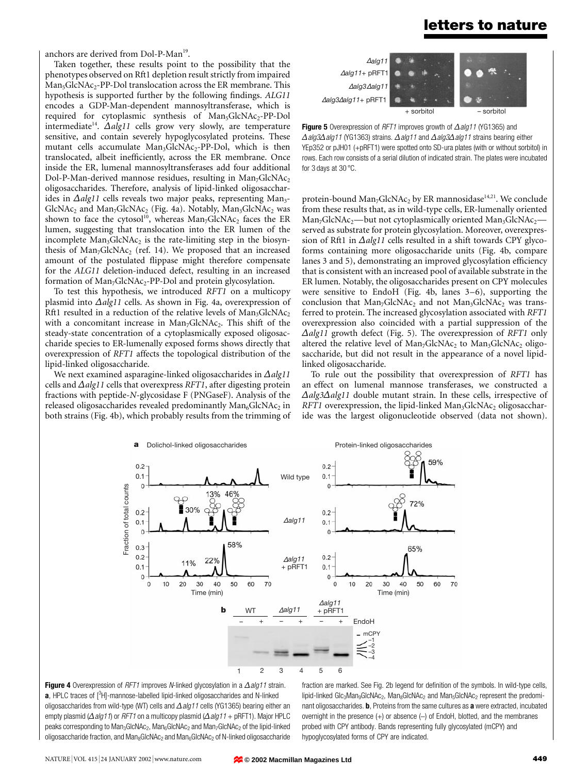### letters to nature

anchors are derived from Dol-P-Man<sup>19</sup>.

Taken together, these results point to the possibility that the phenotypes observed on Rft1 depletion result strictly from impaired  $Man<sub>5</sub>GlcNAc<sub>2</sub>-PP-Dol$  translocation across the ER membrane. This hypothesis is supported further by the following findings. ALG11 encodes a GDP-Man-dependent mannosyltransferase, which is required for cytoplasmic synthesis of Man<sub>5</sub>GlcNAc<sub>2</sub>-PP-Dol intermediate<sup>14</sup>.  $\Delta \alpha$ lg11 cells grow very slowly, are temperature sensitive, and contain severely hypoglycosylated proteins. These mutant cells accumulate  $Man_3GlcNAc_2-PP-Dol$ , which is then translocated, albeit inefficiently, across the ER membrane. Once inside the ER, lumenal mannosyltransferases add four additional Dol-P-Man-derived mannose residues, resulting in  $Man_7GlcNAc_2$ oligosaccharides. Therefore, analysis of lipid-linked oligosaccharides in  $\Delta \alpha$ lg11 cells reveals two major peaks, representing Man<sub>3</sub>- $GlcNAc<sub>2</sub>$  and Man<sub>7</sub>GlcNAc<sub>2</sub> (Fig. 4a). Notably, Man<sub>3</sub>GlcNAc<sub>2</sub> was shown to face the cytosol<sup>10</sup>, whereas  $Man<sub>7</sub>GlcNAc<sub>2</sub>$  faces the ER lumen, suggesting that translocation into the ER lumen of the incomplete  $Man_3GlcNAc_2$  is the rate-limiting step in the biosynthesis of  $Man_7GlcNAc_2$  (ref. 14). We proposed that an increased amount of the postulated flippase might therefore compensate for the ALG11 deletion-induced defect, resulting in an increased formation of  $Man_7GlcNAc_2-PP-Dol$  and protein glycosylation.

To test this hypothesis, we introduced RFT1 on a multicopy plasmid into  $\Delta \alpha$ lg11 cells. As shown in Fig. 4a, overexpression of Rft1 resulted in a reduction of the relative levels of  $Man_3GlcNAc_2$ with a concomitant increase in  $Man_7GlcNAc_2$ . This shift of the steady-state concentration of a cytoplasmically exposed oligosaccharide species to ER-lumenally exposed forms shows directly that overexpression of RFT1 affects the topological distribution of the lipid-linked oligosaccharide.

We next examined asparagine-linked oligosaccharides in  $\Delta$ alg11 cells and  $\Delta$ alg11 cells that overexpress RFT1, after digesting protein fractions with peptide-N-glycosidase F (PNGaseF). Analysis of the released oligosaccharides revealed predominantly  $Man_6GlcNAc_2$  in both strains (Fig. 4b), which probably results from the trimming of



Figure 5 Overexpression of RFT1 improves growth of  $\Delta$ alg11 (YG1365) and  $\Delta$ alg3 $\Delta$ alg11 (YG1363) strains.  $\Delta$ alg11 and  $\Delta$ alg3 $\Delta$ alg11 strains bearing either YEp352 or pJH01 (+pRFT1) were spotted onto SD-ura plates (with or without sorbitol) in rows. Each row consists of a serial dilution of indicated strain. The plates were incubated for 3 days at 30  $^{\circ}$ C.

protein-bound  $Man_7GlcNAc_2$  by ER mannosidase<sup>14,21</sup>. We conclude from these results that, as in wild-type cells, ER-lumenally oriented Man<sub>7</sub>GlcNAc<sub>2</sub>—but not cytoplasmically oriented Man<sub>3</sub>GlcNAc<sub>2</sub>served as substrate for protein glycosylation. Moreover, overexpression of Rft1 in  $\Delta$ alg11 cells resulted in a shift towards CPY glycoforms containing more oligosaccharide units (Fig. 4b, compare lanes 3 and 5), demonstrating an improved glycosylation efficiency that is consistent with an increased pool of available substrate in the ER lumen. Notably, the oligosaccharides present on CPY molecules were sensitive to EndoH (Fig. 4b, lanes  $3-6$ ), supporting the conclusion that  $Man_7GlcNAc_2$  and not  $Man_3GlcNAc_2$  was transferred to protein. The increased glycosylation associated with RFT1 overexpression also coincided with a partial suppression of the  $\Delta$ alg11 growth defect (Fig. 5). The overexpression of RFT1 only altered the relative level of  $Man_7GlcNAc_2$  to  $Man_3GlcNAc_2$  oligosaccharide, but did not result in the appearance of a novel lipidlinked oligosaccharide.

To rule out the possibility that overexpression of RFT1 has an effect on lumenal mannose transferases, we constructed a  $\Delta$ alg3 $\Delta$ alg11 double mutant strain. In these cells, irrespective of RFT1 overexpression, the lipid-linked  $Man_3GlcNAc_2$  oligosaccharide was the largest oligonucleotide observed (data not shown).



Figure 4 Overexpression of RFT1 improves N-linked glycosylation in a  $\Delta$ alg11 strain.  $a$ , HPLC traces of  $[^{3}H]$ -mannose-labelled lipid-linked oligosaccharides and N-linked oligosaccharides from wild-type (WT) cells and  $\Delta$ alg11 cells (YG1365) bearing either an empty plasmid ( $\Delta$  alg11) or RFT1 on a multicopy plasmid ( $\Delta$  alg11 + pRFT1). Major HPLC peaks corresponding to Man<sub>3</sub>GlcNAc<sub>2</sub>, Man<sub>6</sub>GlcNAc<sub>2</sub> and Man<sub>7</sub>GlcNAc<sub>2</sub> of the lipid-linked oligosaccharide fraction, and  $Man_{8}GlcNAc_{2}$  and  $Man_{6}GlcNAc_{2}$  of N-linked oligosaccharide fraction are marked. See Fig. 2b legend for definition of the symbols. In wild-type cells, lipid-linked Glc<sub>3</sub>Man<sub>9</sub>GlcNAc<sub>2</sub>, Man<sub>8</sub>GlcNAc<sub>2</sub> and Man<sub>5</sub>GlcNAc<sub>2</sub> represent the predominant oligosaccharides. **b**, Proteins from the same cultures as **a** were extracted, incubated overnight in the presence  $(+)$  or absence  $(-)$  of EndoH, blotted, and the membranes probed with CPY antibody. Bands representing fully glycosylated (mCPY) and hypoglycosylated forms of CPY are indicated.